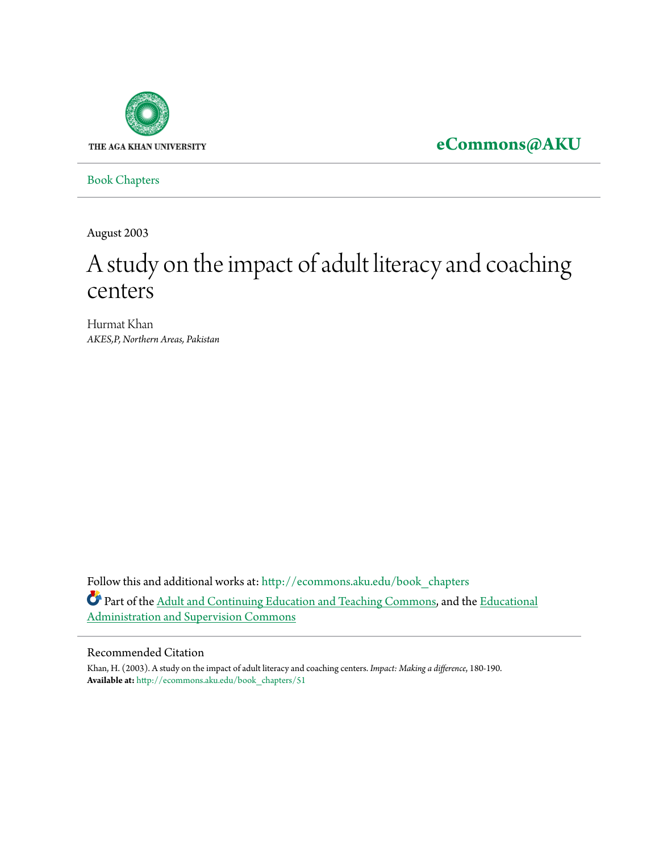

**[eCommons@AKU](http://ecommons.aku.edu?utm_source=ecommons.aku.edu%2Fbook_chapters%2F51&utm_medium=PDF&utm_campaign=PDFCoverPages)**

[Book Chapters](http://ecommons.aku.edu/book_chapters?utm_source=ecommons.aku.edu%2Fbook_chapters%2F51&utm_medium=PDF&utm_campaign=PDFCoverPages)

August 2003

# A study on the impact of adult literacy and coaching centers

Hurmat Khan *AKES,P, Northern Areas, Pakistan*

Follow this and additional works at: [http://ecommons.aku.edu/book\\_chapters](http://ecommons.aku.edu/book_chapters?utm_source=ecommons.aku.edu%2Fbook_chapters%2F51&utm_medium=PDF&utm_campaign=PDFCoverPages) Part of the [Adult and Continuing Education and Teaching Commons](http://network.bepress.com/hgg/discipline/804?utm_source=ecommons.aku.edu%2Fbook_chapters%2F51&utm_medium=PDF&utm_campaign=PDFCoverPages), and the [Educational](http://network.bepress.com/hgg/discipline/787?utm_source=ecommons.aku.edu%2Fbook_chapters%2F51&utm_medium=PDF&utm_campaign=PDFCoverPages) [Administration and Supervision Commons](http://network.bepress.com/hgg/discipline/787?utm_source=ecommons.aku.edu%2Fbook_chapters%2F51&utm_medium=PDF&utm_campaign=PDFCoverPages)

#### Recommended Citation

Khan, H. (2003). A study on the impact of adult literacy and coaching centers. *Impact: Making a difference*, 180-190. **Available at:** [http://ecommons.aku.edu/book\\_chapters/51](http://ecommons.aku.edu/book_chapters/51)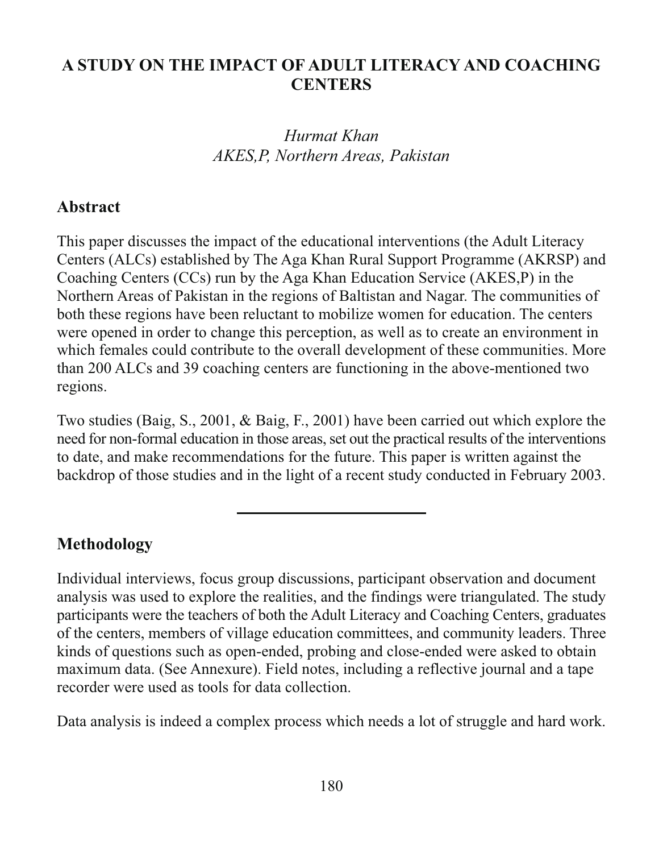#### A STUDY ON THE IMPACT OF ADULT LITERACY AND COACHING **CENTERS**

Hurmat Khan AKES.P. Northern Areas. Pakistan

#### Abstract

This paper discusses the impact of the educational interventions (the Adult Literacy Centers (ALCs) established by The Aga Khan Rural Support Programme (AKRSP) and Coaching Centers (CCs) run by the Aga Khan Education Service (AKES, P) in the Northern Areas of Pakistan in the regions of Baltistan and Nagar. The communities of both these regions have been reluctant to mobilize women for education. The centers were opened in order to change this perception, as well as to create an environment in which females could contribute to the overall development of these communities. More than 200 ALCs and 39 coaching centers are functioning in the above-mentioned two regions.

Two studies (Baig, S., 2001, & Baig, F., 2001) have been carried out which explore the need for non-formal education in those areas, set out the practical results of the interventions to date, and make recommendations for the future. This paper is written against the backdrop of those studies and in the light of a recent study conducted in February 2003.

#### **Methodology**

Individual interviews, focus group discussions, participant observation and document analysis was used to explore the realities, and the findings were triangulated. The study participants were the teachers of both the Adult Literacy and Coaching Centers, graduates of the centers, members of village education committees, and community leaders. Three kinds of questions such as open-ended, probing and close-ended were asked to obtain maximum data. (See Annexure). Field notes, including a reflective journal and a tape recorder were used as tools for data collection.

Data analysis is indeed a complex process which needs a lot of struggle and hard work.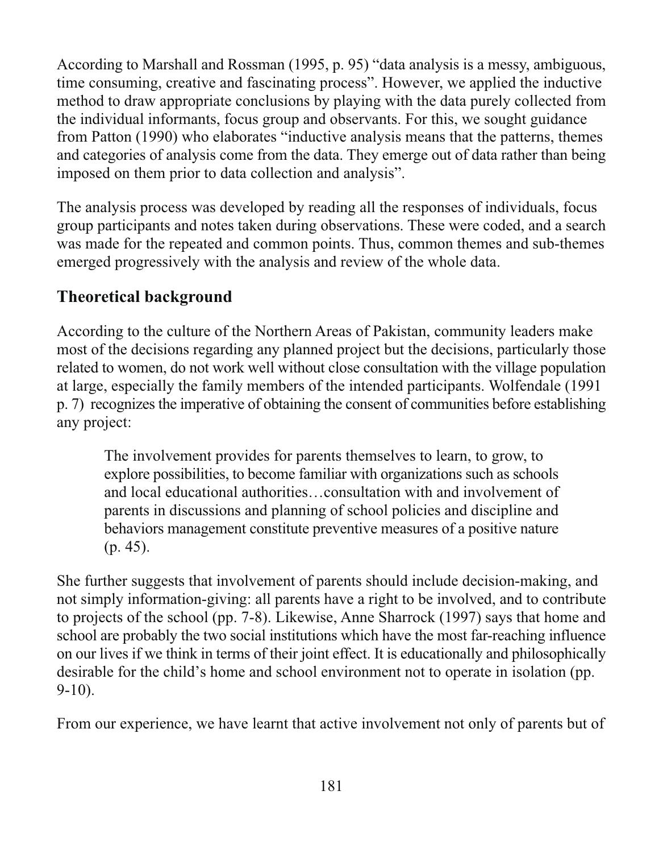According to Marshall and Rossman (1995, p. 95) "data analysis is a messy, ambiguous, time consuming, creative and fascinating process". However, we applied the inductive method to draw appropriate conclusions by playing with the data purely collected from the individual informants, focus group and observants. For this, we sought guidance from Patton (1990) who elaborates "inductive analysis means that the patterns, themes and categories of analysis come from the data. They emerge out of data rather than being imposed on them prior to data collection and analysis".

The analysis process was developed by reading all the responses of individuals, focus group participants and notes taken during observations. These were coded, and a search was made for the repeated and common points. Thus, common themes and sub-themes emerged progressively with the analysis and review of the whole data.

### **Theoretical background**

According to the culture of the Northern Areas of Pakistan, community leaders make most of the decisions regarding any planned project but the decisions, particularly those related to women, do not work well without close consultation with the village population at large, especially the family members of the intended participants. Wolfendale (1991) p. 7) recognizes the imperative of obtaining the consent of communities before establishing any project:

The involvement provides for parents themselves to learn, to grow, to explore possibilities, to become familiar with organizations such as schools and local educational authorities...consultation with and involvement of parents in discussions and planning of school policies and discipline and behaviors management constitute preventive measures of a positive nature  $(p. 45)$ .

She further suggests that involvement of parents should include decision-making, and not simply information-giving: all parents have a right to be involved, and to contribute to projects of the school (pp. 7-8). Likewise, Anne Sharrock (1997) says that home and school are probably the two social institutions which have the most far-reaching influence on our lives if we think in terms of their joint effect. It is educationally and philosophically desirable for the child's home and school environment not to operate in isolation (pp.  $9-10$ ).

From our experience, we have learnt that active involvement not only of parents but of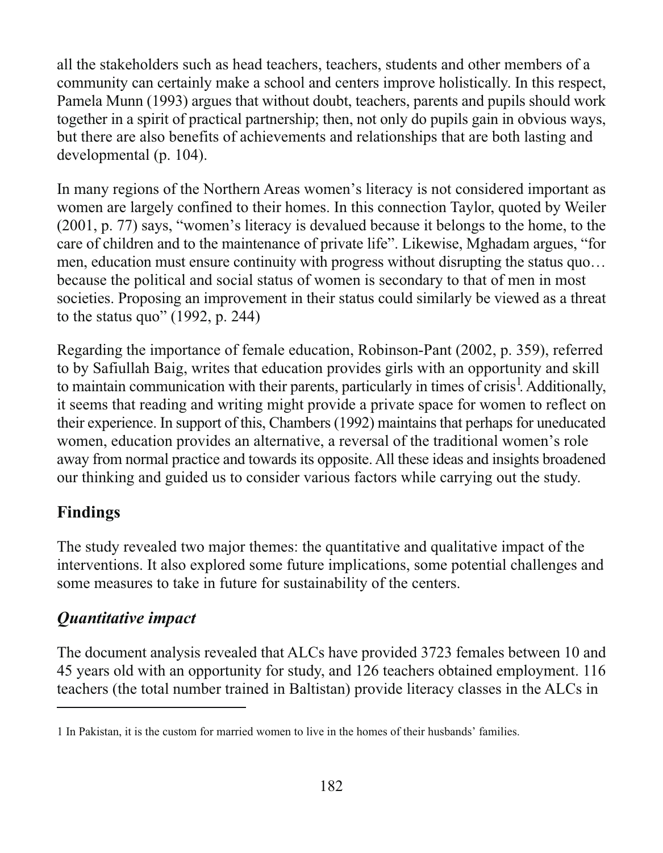all the stakeholders such as head teachers, teachers, students and other members of a community can certainly make a school and centers improve holistically. In this respect, Pamela Munn (1993) argues that without doubt, teachers, parents and pupils should work together in a spirit of practical partnership; then, not only do pupils gain in obvious ways, but there are also benefits of achievements and relationships that are both lasting and developmental (p. 104).

In many regions of the Northern Areas women's literacy is not considered important as women are largely confined to their homes. In this connection Taylor, quoted by Weiler (2001, p. 77) says, "women's literacy is devalued because it belongs to the home, to the care of children and to the maintenance of private life". Likewise, Mghadam argues, "for men, education must ensure continuity with progress without disrupting the status quo... because the political and social status of women is secondary to that of men in most societies. Proposing an improvement in their status could similarly be viewed as a threat to the status quo" (1992, p. 244)

Regarding the importance of female education, Robinson-Pant (2002, p. 359), referred to by Safiullah Baig, writes that education provides girls with an opportunity and skill to maintain communication with their parents, particularly in times of crisis<sup>1</sup>. Additionally, it seems that reading and writing might provide a private space for women to reflect on their experience. In support of this, Chambers (1992) maintains that perhaps for uneducated women, education provides an alternative, a reversal of the traditional women's role away from normal practice and towards its opposite. All these ideas and insights broadened our thinking and guided us to consider various factors while carrying out the study.

### **Findings**

The study revealed two major themes: the quantitative and qualitative impact of the interventions. It also explored some future implications, some potential challenges and some measures to take in future for sustainability of the centers.

### **Ouantitative impact**

The document analysis revealed that ALCs have provided 3723 females between 10 and 45 years old with an opportunity for study, and 126 teachers obtained employment. 116 teachers (the total number trained in Baltistan) provide literacy classes in the ALCs in

<sup>1</sup> In Pakistan, it is the custom for married women to live in the homes of their husbands' families.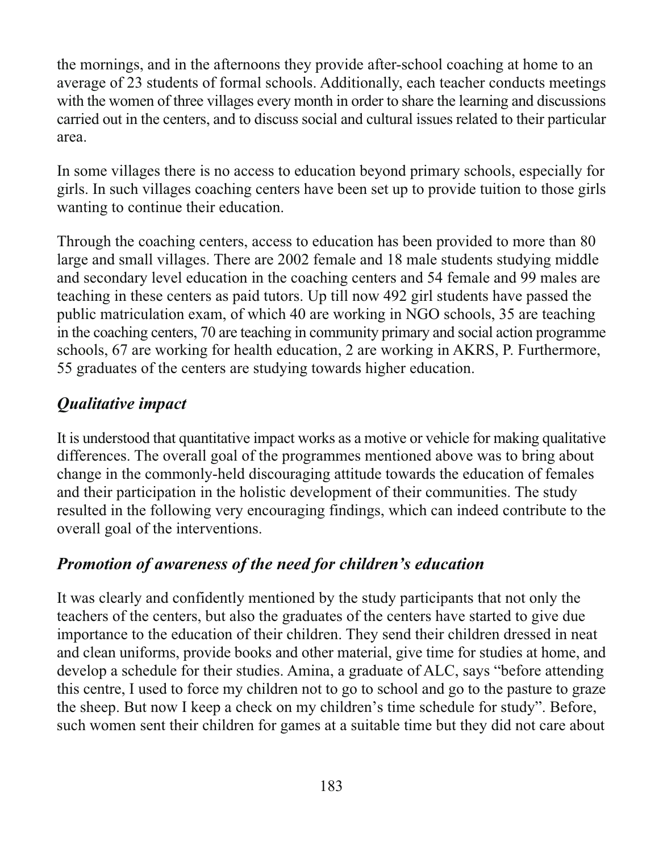the mornings, and in the afternoons they provide after-school coaching at home to an average of 23 students of formal schools. Additionally, each teacher conducts meetings with the women of three villages every month in order to share the learning and discussions carried out in the centers, and to discuss social and cultural issues related to their particular area.

In some villages there is no access to education beyond primary schools, especially for girls. In such villages coaching centers have been set up to provide tuition to those girls wanting to continue their education.

Through the coaching centers, access to education has been provided to more than 80 large and small villages. There are 2002 female and 18 male students studying middle and secondary level education in the coaching centers and 54 female and 99 males are teaching in these centers as paid tutors. Up till now 492 girl students have passed the public matriculation exam, of which 40 are working in NGO schools, 35 are teaching in the coaching centers, 70 are teaching in community primary and social action programme schools, 67 are working for health education, 2 are working in AKRS, P. Furthermore, 55 graduates of the centers are studying towards higher education.

# **Qualitative impact**

It is understood that quantitative impact works as a motive or vehicle for making qualitative differences. The overall goal of the programmes mentioned above was to bring about change in the commonly-held discouraging attitude towards the education of females and their participation in the holistic development of their communities. The study resulted in the following very encouraging findings, which can indeed contribute to the overall goal of the interventions.

# Promotion of awareness of the need for children's education

It was clearly and confidently mentioned by the study participants that not only the teachers of the centers, but also the graduates of the centers have started to give due importance to the education of their children. They send their children dressed in neat and clean uniforms, provide books and other material, give time for studies at home, and develop a schedule for their studies. Amina, a graduate of ALC, says "before attending this centre, I used to force my children not to go to school and go to the pasture to graze the sheep. But now I keep a check on my children's time schedule for study". Before, such women sent their children for games at a suitable time but they did not care about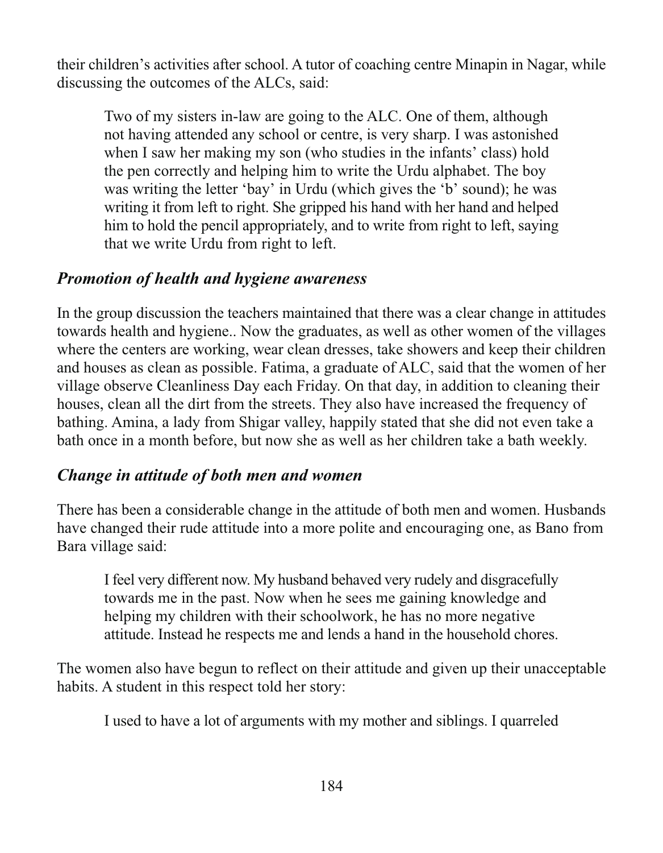their children's activities after school. A tutor of coaching centre Minapin in Nagar, while discussing the outcomes of the ALCs, said:

Two of my sisters in-law are going to the ALC. One of them, although not having attended any school or centre, is very sharp. I was astonished when I saw her making my son (who studies in the infants' class) hold the pen correctly and helping him to write the Urdu alphabet. The boy was writing the letter 'bay' in Urdu (which gives the 'b' sound); he was writing it from left to right. She gripped his hand with her hand and helped him to hold the pencil appropriately, and to write from right to left, saying that we write Urdu from right to left.

#### **Promotion of health and hygiene awareness**

In the group discussion the teachers maintained that there was a clear change in attitudes towards health and hygiene.. Now the graduates, as well as other women of the villages where the centers are working, wear clean dresses, take showers and keep their children and houses as clean as possible. Fatima, a graduate of ALC, said that the women of her village observe Cleanliness Day each Friday. On that day, in addition to cleaning their houses, clean all the dirt from the streets. They also have increased the frequency of bathing. Amina, a lady from Shigar valley, happily stated that she did not even take a bath once in a month before, but now she as well as her children take a bath weekly.

#### Change in attitude of both men and women

There has been a considerable change in the attitude of both men and women. Husbands have changed their rude attitude into a more polite and encouraging one, as Bano from Bara village said:

I feel very different now. My husband behaved very rudely and disgracefully towards me in the past. Now when he sees me gaining knowledge and helping my children with their schoolwork, he has no more negative attitude. Instead he respects me and lends a hand in the household chores.

The women also have begun to reflect on their attitude and given up their unacceptable habits. A student in this respect told her story:

I used to have a lot of arguments with my mother and siblings. I quarreled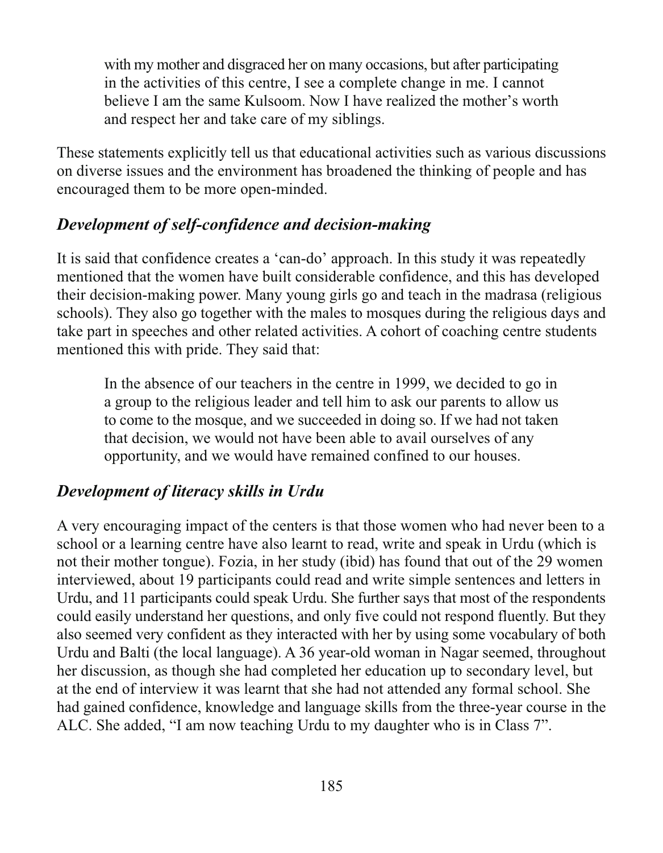with my mother and disgraced her on many occasions, but after participating in the activities of this centre, I see a complete change in me. I cannot believe I am the same Kulsoom. Now I have realized the mother's worth and respect her and take care of my siblings.

These statements explicitly tell us that educational activities such as various discussions on diverse issues and the environment has broadened the thinking of people and has encouraged them to be more open-minded.

#### Development of self-confidence and decision-making

It is said that confidence creates a 'can-do' approach. In this study it was repeatedly mentioned that the women have built considerable confidence, and this has developed their decision-making power. Many young girls go and teach in the madrasa (religious schools). They also go together with the males to mosques during the religious days and take part in speeches and other related activities. A cohort of coaching centre students mentioned this with pride. They said that:

In the absence of our teachers in the centre in 1999, we decided to go in a group to the religious leader and tell him to ask our parents to allow us to come to the mosque, and we succeeded in doing so. If we had not taken that decision, we would not have been able to avail ourselves of any opportunity, and we would have remained confined to our houses.

### Development of literacy skills in Urdu

A very encouraging impact of the centers is that those women who had never been to a school or a learning centre have also learnt to read, write and speak in Urdu (which is not their mother tongue). Fozia, in her study (ibid) has found that out of the 29 women interviewed, about 19 participants could read and write simple sentences and letters in Urdu, and 11 participants could speak Urdu. She further says that most of the respondents could easily understand her questions, and only five could not respond fluently. But they also seemed very confident as they interacted with her by using some vocabulary of both Urdu and Balti (the local language). A 36 year-old woman in Nagar seemed, throughout her discussion, as though she had completed her education up to secondary level, but at the end of interview it was learnt that she had not attended any formal school. She had gained confidence, knowledge and language skills from the three-year course in the ALC. She added, "I am now teaching Urdu to my daughter who is in Class 7".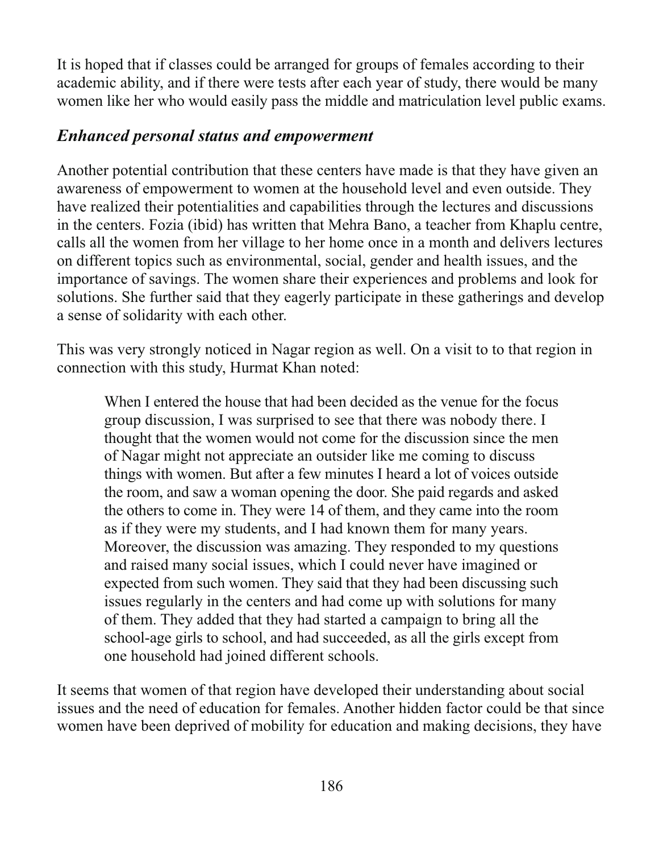It is hoped that if classes could be arranged for groups of females according to their academic ability, and if there were tests after each year of study, there would be many women like her who would easily pass the middle and matriculation level public exams.

#### **Enhanced personal status and empowerment**

Another potential contribution that these centers have made is that they have given an awareness of empowerment to women at the household level and even outside. They have realized their potentialities and capabilities through the lectures and discussions in the centers. Fozia (ibid) has written that Mehra Bano, a teacher from Khaplu centre, calls all the women from her village to her home once in a month and delivers lectures on different topics such as environmental, social, gender and health issues, and the importance of savings. The women share their experiences and problems and look for solutions. She further said that they eagerly participate in these gatherings and develop a sense of solidarity with each other.

This was very strongly noticed in Nagar region as well. On a visit to to that region in connection with this study, Hurmat Khan noted:

When I entered the house that had been decided as the venue for the focus group discussion, I was surprised to see that there was nobody there. I thought that the women would not come for the discussion since the men of Nagar might not appreciate an outsider like me coming to discuss things with women. But after a few minutes I heard a lot of voices outside the room, and saw a woman opening the door. She paid regards and asked the others to come in. They were 14 of them, and they came into the room as if they were my students, and I had known them for many years. Moreover, the discussion was amazing. They responded to my questions and raised many social issues, which I could never have imagined or expected from such women. They said that they had been discussing such issues regularly in the centers and had come up with solutions for many of them. They added that they had started a campaign to bring all the school-age girls to school, and had succeeded, as all the girls except from one household had joined different schools.

It seems that women of that region have developed their understanding about social issues and the need of education for females. Another hidden factor could be that since women have been deprived of mobility for education and making decisions, they have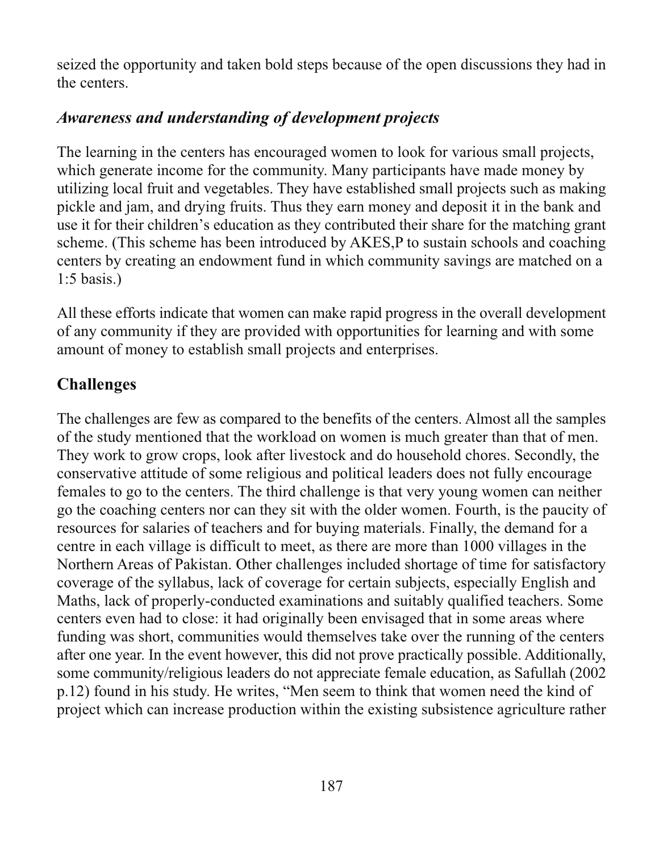seized the opportunity and taken bold steps because of the open discussions they had in the centers.

## Awareness and understanding of development projects

The learning in the centers has encouraged women to look for various small projects, which generate income for the community. Many participants have made money by utilizing local fruit and vegetables. They have established small projects such as making pickle and jam, and drying fruits. Thus they earn money and deposit it in the bank and use it for their children's education as they contributed their share for the matching grant scheme. (This scheme has been introduced by AKES, P to sustain schools and coaching centers by creating an endowment fund in which community savings are matched on a  $1:5$  basis.)

All these efforts indicate that women can make rapid progress in the overall development of any community if they are provided with opportunities for learning and with some amount of money to establish small projects and enterprises.

# **Challenges**

The challenges are few as compared to the benefits of the centers. Almost all the samples of the study mentioned that the workload on women is much greater than that of men. They work to grow crops, look after livestock and do household chores. Secondly, the conservative attitude of some religious and political leaders does not fully encourage females to go to the centers. The third challenge is that very young women can neither go the coaching centers nor can they sit with the older women. Fourth, is the paucity of resources for salaries of teachers and for buying materials. Finally, the demand for a centre in each village is difficult to meet, as there are more than 1000 villages in the Northern Areas of Pakistan. Other challenges included shortage of time for satisfactory coverage of the syllabus, lack of coverage for certain subjects, especially English and Maths, lack of properly-conducted examinations and suitably qualified teachers. Some centers even had to close: it had originally been envisaged that in some areas where funding was short, communities would themselves take over the running of the centers after one year. In the event however, this did not prove practically possible. Additionally, some community/religious leaders do not appreciate female education, as Safullah (2002) p.12) found in his study. He writes, "Men seem to think that women need the kind of project which can increase production within the existing subsistence agriculture rather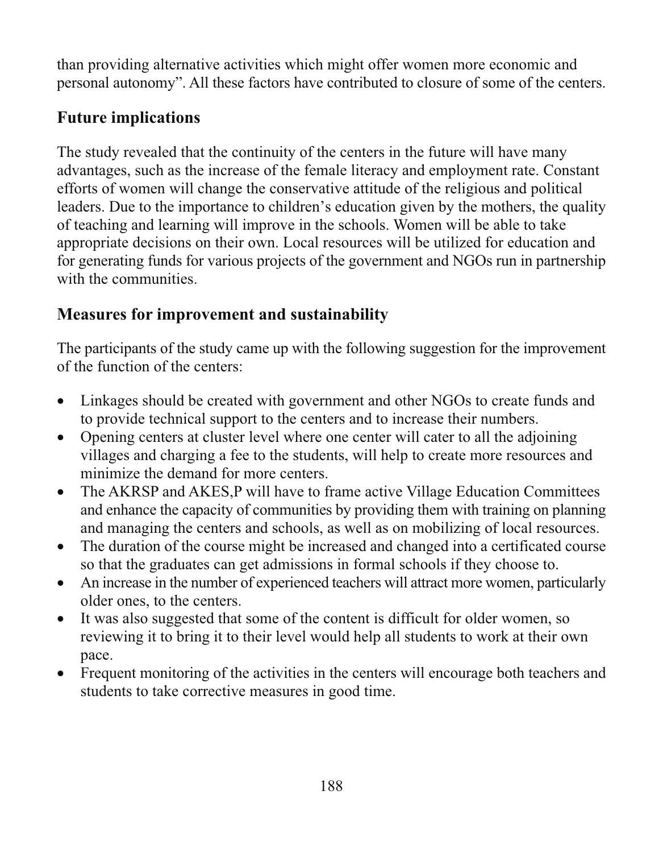than providing alternative activities which might offer women more economic and personal autonomy". All these factors have contributed to closure of some of the centers.

# **Future implications**

The study revealed that the continuity of the centers in the future will have many advantages, such as the increase of the female literacy and employment rate. Constant efforts of women will change the conservative attitude of the religious and political leaders. Due to the importance to children's education given by the mothers, the quality of teaching and learning will improve in the schools. Women will be able to take appropriate decisions on their own. Local resources will be utilized for education and for generating funds for various projects of the government and NGOs run in partnership with the communities.

# **Measures for improvement and sustainability**

The participants of the study came up with the following suggestion for the improvement of the function of the centers.

- Linkages should be created with government and other NGOs to create funds and  $\bullet$ to provide technical support to the centers and to increase their numbers.
- Opening centers at cluster level where one center will cater to all the adjoining villages and charging a fee to the students, will help to create more resources and minimize the demand for more centers.
- The AKRSP and AKES, P will have to frame active Village Education Committees  $\bullet$ and enhance the capacity of communities by providing them with training on planning and managing the centers and schools, as well as on mobilizing of local resources.
- The duration of the course might be increased and changed into a certificated course  $\bullet$ so that the graduates can get admissions in formal schools if they choose to.
- An increase in the number of experienced teachers will attract more women, particularly  $\bullet$ older ones, to the centers.
- It was also suggested that some of the content is difficult for older women, so  $\bullet$ reviewing it to bring it to their level would help all students to work at their own pace.
- Frequent monitoring of the activities in the centers will encourage both teachers and  $\bullet$ students to take corrective measures in good time.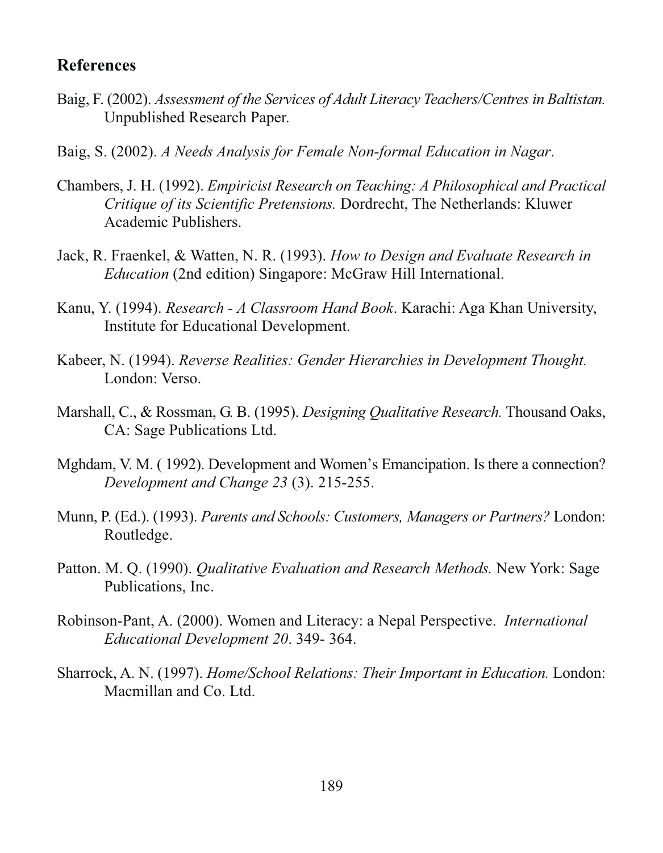#### **References**

- Baig, F. (2002). Assessment of the Services of Adult Literacy Teachers/Centres in Baltistan. Unpublished Research Paper.
- Baig, S. (2002). A Needs Analysis for Female Non-formal Education in Nagar.
- Chambers, J. H. (1992). Empiricist Research on Teaching: A Philosophical and Practical Critique of its Scientific Pretensions. Dordrecht, The Netherlands: Kluwer Academic Publishers.
- Jack, R. Fraenkel, & Watten, N. R. (1993). How to Design and Evaluate Research in *Education* (2nd edition) Singapore: McGraw Hill International.
- Kanu, Y. (1994). Research A Classroom Hand Book. Karachi: Aga Khan University, Institute for Educational Development.
- Kabeer, N. (1994). Reverse Realities: Gender Hierarchies in Development Thought. London: Verso.
- Marshall, C., & Rossman, G. B. (1995). Designing Qualitative Research. Thousand Oaks, CA: Sage Publications Ltd.
- Mghdam, V. M. (1992). Development and Women's Emancipation. Is there a connection? Development and Change 23 (3). 215-255.
- Munn, P. (Ed.). (1993). Parents and Schools: Customers, Managers or Partners? London: Routledge.
- Patton, M. Q. (1990). Qualitative Evaluation and Research Methods. New York: Sage Publications, Inc.
- Robinson-Pant, A. (2000). Women and Literacy: a Nepal Perspective. *International* Educational Development 20, 349-364.
- Sharrock, A. N. (1997). Home/School Relations: Their Important in Education. London: Macmillan and Co. Ltd.